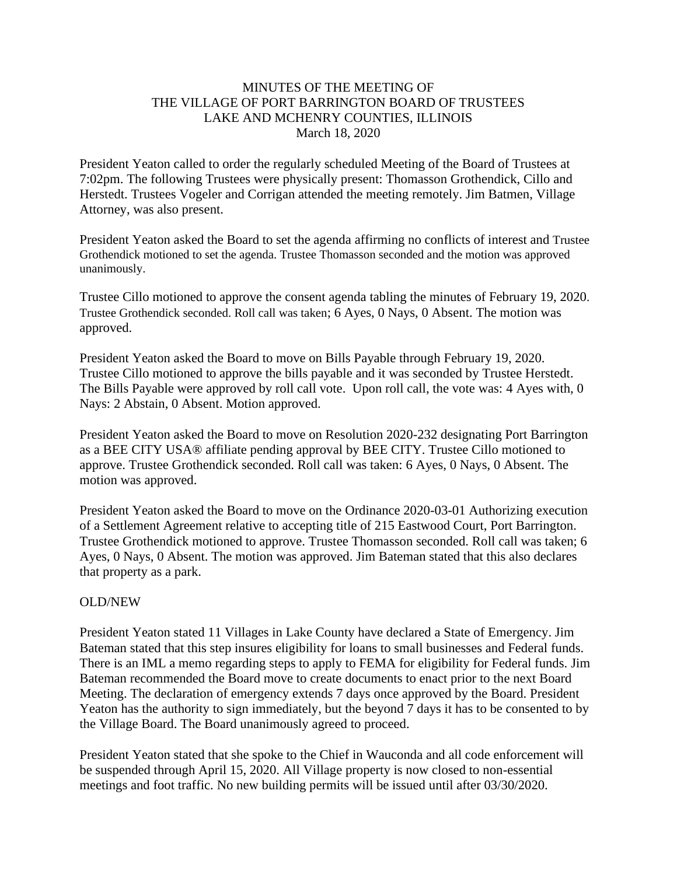## MINUTES OF THE MEETING OF THE VILLAGE OF PORT BARRINGTON BOARD OF TRUSTEES LAKE AND MCHENRY COUNTIES, ILLINOIS March 18, 2020

President Yeaton called to order the regularly scheduled Meeting of the Board of Trustees at 7:02pm. The following Trustees were physically present: Thomasson Grothendick, Cillo and Herstedt. Trustees Vogeler and Corrigan attended the meeting remotely. Jim Batmen, Village Attorney, was also present.

President Yeaton asked the Board to set the agenda affirming no conflicts of interest and Trustee Grothendick motioned to set the agenda. Trustee Thomasson seconded and the motion was approved unanimously.

Trustee Cillo motioned to approve the consent agenda tabling the minutes of February 19, 2020. Trustee Grothendick seconded. Roll call was taken; 6 Ayes, 0 Nays, 0 Absent. The motion was approved.

President Yeaton asked the Board to move on Bills Payable through February 19, 2020. Trustee Cillo motioned to approve the bills payable and it was seconded by Trustee Herstedt. The Bills Payable were approved by roll call vote. Upon roll call, the vote was: 4 Ayes with, 0 Nays: 2 Abstain, 0 Absent. Motion approved.

President Yeaton asked the Board to move on Resolution 2020-232 designating Port Barrington as a BEE CITY USA® affiliate pending approval by BEE CITY. Trustee Cillo motioned to approve. Trustee Grothendick seconded. Roll call was taken: 6 Ayes, 0 Nays, 0 Absent. The motion was approved.

President Yeaton asked the Board to move on the Ordinance 2020-03-01 Authorizing execution of a Settlement Agreement relative to accepting title of 215 Eastwood Court, Port Barrington. Trustee Grothendick motioned to approve. Trustee Thomasson seconded. Roll call was taken; 6 Ayes, 0 Nays, 0 Absent. The motion was approved. Jim Bateman stated that this also declares that property as a park.

## OLD/NEW

President Yeaton stated 11 Villages in Lake County have declared a State of Emergency. Jim Bateman stated that this step insures eligibility for loans to small businesses and Federal funds. There is an IML a memo regarding steps to apply to FEMA for eligibility for Federal funds. Jim Bateman recommended the Board move to create documents to enact prior to the next Board Meeting. The declaration of emergency extends 7 days once approved by the Board. President Yeaton has the authority to sign immediately, but the beyond 7 days it has to be consented to by the Village Board. The Board unanimously agreed to proceed.

President Yeaton stated that she spoke to the Chief in Wauconda and all code enforcement will be suspended through April 15, 2020. All Village property is now closed to non-essential meetings and foot traffic. No new building permits will be issued until after 03/30/2020.